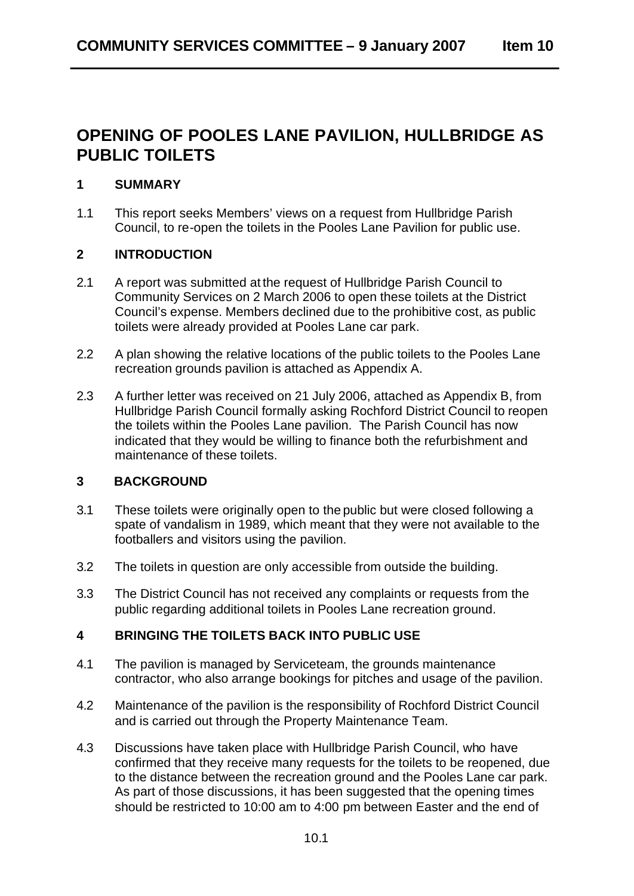# **OPENING OF POOLES LANE PAVILION, HULLBRIDGE AS PUBLIC TOILETS**

## **1 SUMMARY**

1.1 This report seeks Members' views on a request from Hullbridge Parish Council, to re-open the toilets in the Pooles Lane Pavilion for public use.

#### **2 INTRODUCTION**

- 2.1 A report was submitted at the request of Hullbridge Parish Council to Community Services on 2 March 2006 to open these toilets at the District Council's expense. Members declined due to the prohibitive cost, as public toilets were already provided at Pooles Lane car park.
- 2.2 A plan showing the relative locations of the public toilets to the Pooles Lane recreation grounds pavilion is attached as Appendix A.
- 2.3 A further letter was received on 21 July 2006, attached as Appendix B, from Hullbridge Parish Council formally asking Rochford District Council to reopen the toilets within the Pooles Lane pavilion. The Parish Council has now indicated that they would be willing to finance both the refurbishment and maintenance of these toilets.

## **3 BACKGROUND**

- 3.1 These toilets were originally open to the public but were closed following a spate of vandalism in 1989, which meant that they were not available to the footballers and visitors using the pavilion.
- 3.2 The toilets in question are only accessible from outside the building.
- 3.3 The District Council has not received any complaints or requests from the public regarding additional toilets in Pooles Lane recreation ground.

#### **4 BRINGING THE TOILETS BACK INTO PUBLIC USE**

- 4.1 The pavilion is managed by Serviceteam, the grounds maintenance contractor, who also arrange bookings for pitches and usage of the pavilion.
- 4.2 Maintenance of the pavilion is the responsibility of Rochford District Council and is carried out through the Property Maintenance Team.
- 4.3 Discussions have taken place with Hullbridge Parish Council, who have confirmed that they receive many requests for the toilets to be reopened, due to the distance between the recreation ground and the Pooles Lane car park. As part of those discussions, it has been suggested that the opening times should be restricted to 10:00 am to 4:00 pm between Easter and the end of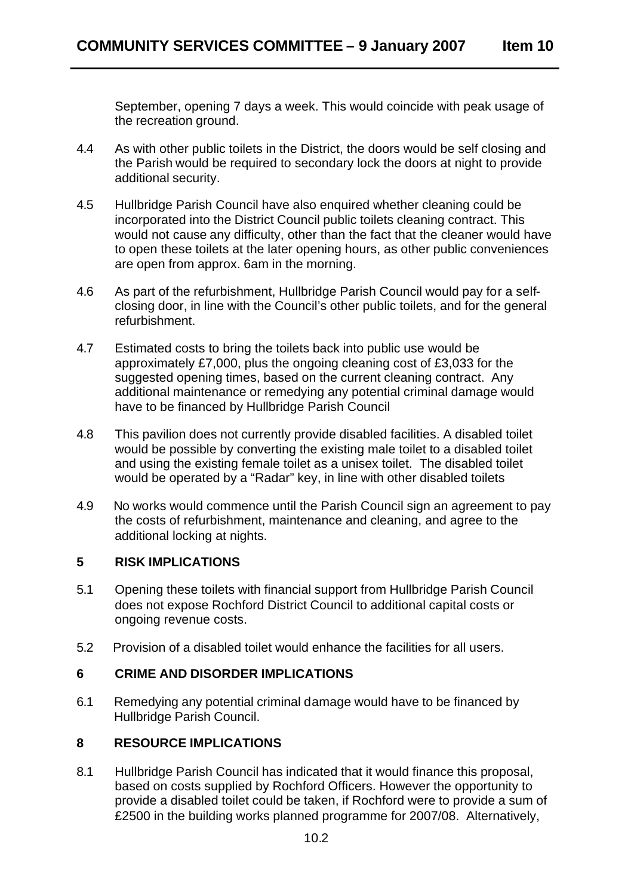September, opening 7 days a week. This would coincide with peak usage of the recreation ground.

- 4.4 As with other public toilets in the District, the doors would be self closing and the Parish would be required to secondary lock the doors at night to provide additional security.
- 4.5 Hullbridge Parish Council have also enquired whether cleaning could be incorporated into the District Council public toilets cleaning contract. This would not cause any difficulty, other than the fact that the cleaner would have to open these toilets at the later opening hours, as other public conveniences are open from approx. 6am in the morning.
- 4.6 As part of the refurbishment, Hullbridge Parish Council would pay for a selfclosing door, in line with the Council's other public toilets, and for the general refurbishment.
- 4.7 Estimated costs to bring the toilets back into public use would be approximately £7,000, plus the ongoing cleaning cost of £3,033 for the suggested opening times, based on the current cleaning contract. Any additional maintenance or remedying any potential criminal damage would have to be financed by Hullbridge Parish Council
- 4.8 This pavilion does not currently provide disabled facilities. A disabled toilet would be possible by converting the existing male toilet to a disabled toilet and using the existing female toilet as a unisex toilet. The disabled toilet would be operated by a "Radar" key, in line with other disabled toilets
- 4.9 No works would commence until the Parish Council sign an agreement to pay the costs of refurbishment, maintenance and cleaning, and agree to the additional locking at nights.

#### **5 RISK IMPLICATIONS**

- 5.1 Opening these toilets with financial support from Hullbridge Parish Council does not expose Rochford District Council to additional capital costs or ongoing revenue costs.
- 5.2 Provision of a disabled toilet would enhance the facilities for all users.

## **6 CRIME AND DISORDER IMPLICATIONS**

6.1 Remedying any potential criminal damage would have to be financed by Hullbridge Parish Council.

## **8 RESOURCE IMPLICATIONS**

8.1 Hullbridge Parish Council has indicated that it would finance this proposal, based on costs supplied by Rochford Officers. However the opportunity to provide a disabled toilet could be taken, if Rochford were to provide a sum of £2500 in the building works planned programme for 2007/08. Alternatively,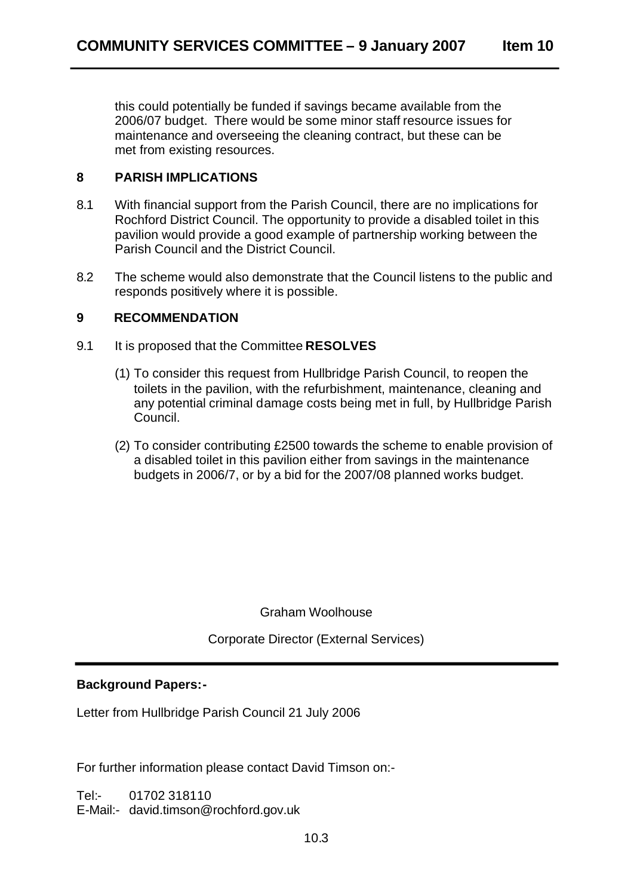this could potentially be funded if savings became available from the 2006/07 budget. There would be some minor staff resource issues for maintenance and overseeing the cleaning contract, but these can be met from existing resources.

## **8 PARISH IMPLICATIONS**

- 8.1 With financial support from the Parish Council, there are no implications for Rochford District Council. The opportunity to provide a disabled toilet in this pavilion would provide a good example of partnership working between the Parish Council and the District Council.
- 8.2 The scheme would also demonstrate that the Council listens to the public and responds positively where it is possible.

## **9 RECOMMENDATION**

- 9.1 It is proposed that the Committee **RESOLVES** 
	- (1) To consider this request from Hullbridge Parish Council, to reopen the toilets in the pavilion, with the refurbishment, maintenance, cleaning and any potential criminal damage costs being met in full, by Hullbridge Parish Council.
	- (2) To consider contributing £2500 towards the scheme to enable provision of a disabled toilet in this pavilion either from savings in the maintenance budgets in 2006/7, or by a bid for the 2007/08 planned works budget.

Graham Woolhouse

Corporate Director (External Services)

## **Background Papers:-**

Letter from Hullbridge Parish Council 21 July 2006

For further information please contact David Timson on:-

Tel:- 01702 318110 E-Mail:- david.timson@rochford.gov.uk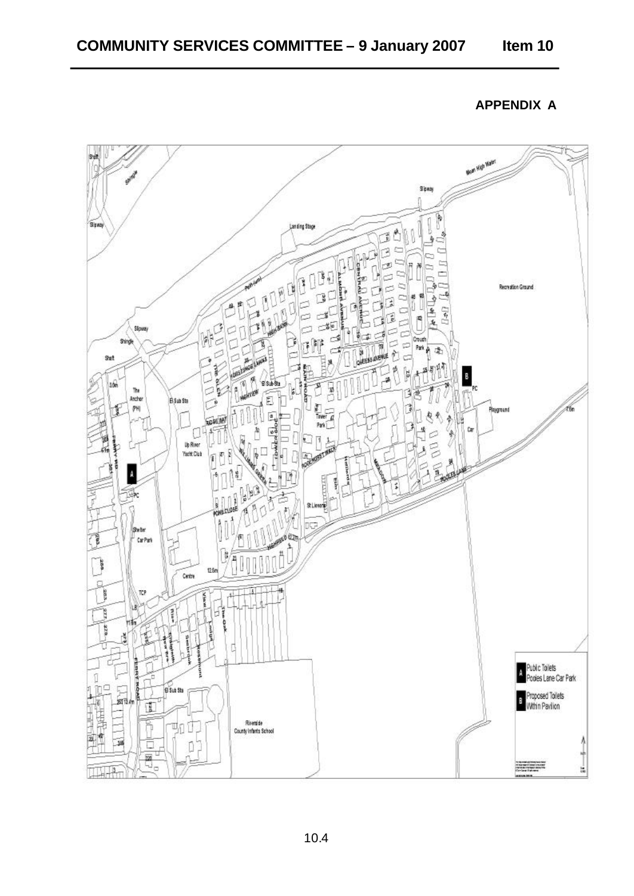**APPENDIX A** 



10.4